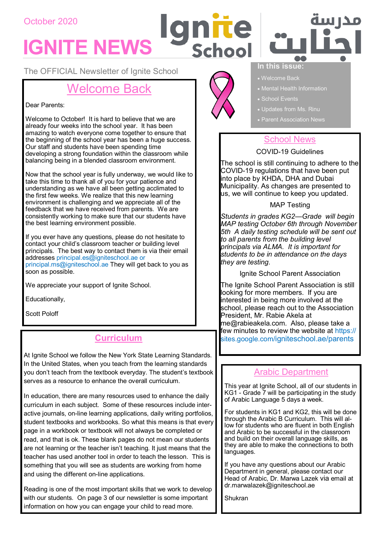## October 2020

# **IGNITE NEWS**

The OFFICIAL Newsletter of Ignite School

# Welcome Back

#### Dear Parents:

Welcome to October! It is hard to believe that we are already four weeks into the school year. It has been amazing to watch everyone come together to ensure that the beginning of the school year has been a huge success. Our staff and students have been spending time developing a strong foundation within the classroom while balancing being in a blended classroom environment.

Now that the school year is fully underway, we would like to take this time to thank all of you for your patience and understanding as we have all been getting acclimated to the first few weeks. We realize that this new learning environment is challenging and we appreciate all of the feedback that we have received from parents. We are consistently working to make sure that our students have the best learning environment possible.

If you ever have any questions, please do not hesitate to contact your child's classroom teacher or building level principals. The best way to contact them is via their email addresses principal.es@igniteschool.ae or principal.ms@igniteschool.ae They will get back to you as soon as possible.

We appreciate your support of Ignite School.

Educationally,

Scott Poloff

## **Curriculum**

At Ignite School we follow the New York State Learning Standards. In the United States, when you teach from the learning standards you don't teach from the textbook everyday. The student's textbook serves as a resource to enhance the overall curriculum.

In education, there are many resources used to enhance the daily curriculum in each subject. Some of these resources include interactive journals, on-line learning applications, daily writing portfolios, student textbooks and workbooks. So what this means is that every page in a workbook or textbook will not always be completed or read, and that is ok. These blank pages do not mean our students are not learning or the teacher isn't teaching. It just means that the teacher has used another tool in order to teach the lesson. This is something that you will see as students are working from home and using the different on-line applications.

Reading is one of the most important skills that we work to develop with our students. On page 3 of our newsletter is some important information on how you can engage your child to read more.



nπe



#### **In this issue:**

- Welcome Back
- Mental Health Information
- School Events
- Updates from Ms. Rinu
- Parent Association News

## School News

#### COVID-19 Guidelines

The school is still continuing to adhere to the COVID-19 regulations that have been put into place by KHDA, DHA and Dubai Municipality. As changes are presented to us, we will continue to keep you updated.

MAP Testing

*Students in grades KG2—Grade will begin MAP testing October 6th through November 5th A daily testing schedule will be sent out to all parents from the building level principals via ALMA. It is important for students to be in attendance on the days they are testing.*

Ignite School Parent Association

The Ignite School Parent Association is still looking for more members. If you are interested in being more involved at the school, please reach out to the Association President, Mr. Rabie Akela at me@rabieakela.com. Also, please take a few minutes to review the website at https:// sites.google.com/igniteschool.ae/parents

## Arabic Department

This year at Ignite School, all of our students in KG1 - Grade 7 will be participating in the study of Arabic Language 5 days a week.

For students in KG1 and KG2, this will be done through the Arabic B Curriculum. This will allow for students who are fluent in both English and Arabic to be successful in the classroom and build on their overall language skills, as they are able to make the connections to both languages.

If you have any questions about our Arabic Department in general, please contact our Head of Arabic, Dr. Marwa Lazek via email at dr.marwalazek@igniteschool.ae

**Shukran**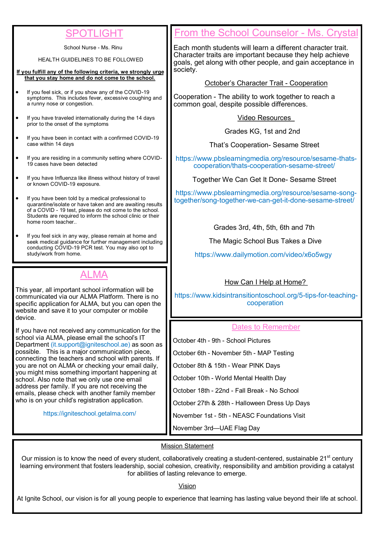# SPOTLIGHT

School Nurse - Ms. Rinu

HEALTH GUIDELINES TO BE FOLLOWED

**If you fulfill any of the following criteria, we strongly urge that you stay home and do not come to the school.**

- If you feel sick, or if you show any of the COVID-19 symptoms. This includes fever, excessive coughing and a runny nose or congestion.
- If you have traveled internationally during the 14 days prior to the onset of the symptoms
- If you have been in contact with a confirmed COVID-19 case within 14 days
- If you are residing in a community setting where COVID-19 cases have been detected
- If you have Influenza like illness without history of travel or known COVID-19 exposure.
- If you have been told by a medical professional to quarantine/isolate or have taken and are awaiting results of a COVID - 19 test, please do not come to the school. Students are required to inform the school clinic or their home room teacher..
- If you feel sick in any way, please remain at home and seek medical guidance for further management including conducting COVID-19 PCR test. You may also opt to study/work from home.

# ALMA

This year, all important school information will be communicated via our ALMA Platform. There is no specific application for ALMA, but you can open the website and save it to your computer or mobile device.

If you have not received any communication for the school via ALMA, please email the school's IT Department (it.support@igniteschool.ae) as soon as possible. This is a major communication piece, connecting the teachers and school with parents. If you are not on ALMA or checking your email daily, you might miss something important happening at school. Also note that we only use one email address per family. If you are not receiving the emails, please check with another family member who is on your child's registration application.

https://igniteschool.getalma.com/

# From the School Counselor - Ms. Crystal

Each month students will learn a different character trait. Character traits are important because they help achieve goals, get along with other people, and gain acceptance in society.

October's Character Trait - Cooperation

Cooperation - The ability to work together to reach a common goal, despite possible differences.

Video Resources

Grades KG, 1st and 2nd

That's Cooperation- Sesame Street

https://www.pbslearningmedia.org/resource/sesame-thatscooperation/thats-cooperation-sesame-street/

Together We Can Get It Done- Sesame Street

https://www.pbslearningmedia.org/resource/sesame-songtogether/song-together-we-can-get-it-done-sesame-street/

Grades 3rd, 4th, 5th, 6th and 7th

The Magic School Bus Takes a Dive

https://www.dailymotion.com/video/x6o5wgy

## How Can I Help at Home?

https://www.kidsintransitiontoschool.org/5-tips-for-teachingcooperation

### Dates to Remember

October 4th - 9th - School Pictures

October 6th - November 5th - MAP Testing

October 8th & 15th - Wear PINK Days

October 10th - World Mental Health Day

October 18th - 22nd - Fall Break - No School

October 27th & 28th - Halloween Dress Up Days

November 1st - 5th - NEASC Foundations Visit

November 3rd—UAE Flag Day

### Mission Statement

Our mission is to know the need of every student, collaboratively creating a student-centered, sustainable 21<sup>st</sup> century learning environment that fosters leadership, social cohesion, creativity, responsibility and ambition providing a catalyst for abilities of lasting relevance to emerge.

Vision

At Ignite School, our vision is for all young people to experience that learning has lasting value beyond their life at school.